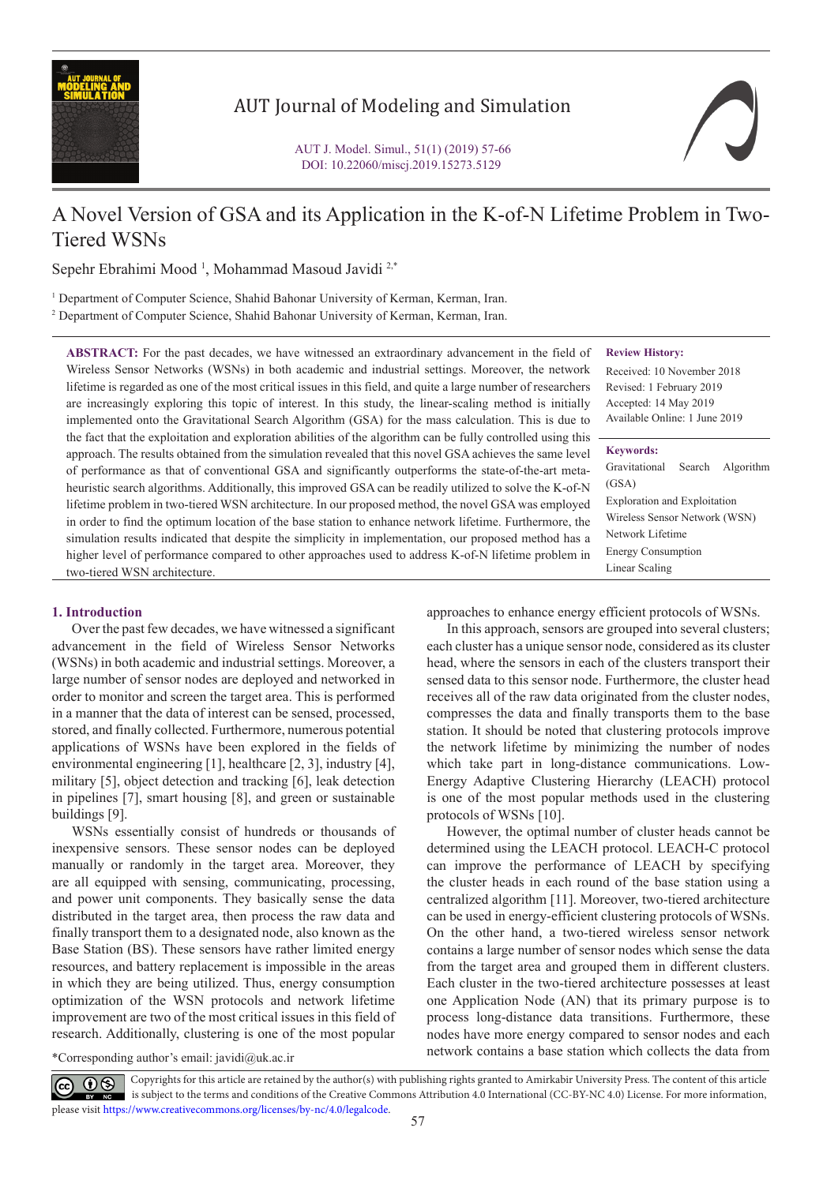

# AUT Journal of Modeling and Simulation

# A Novel Version of GSA and its Application in the K-of-N Lifetime Problem in Two-Tiered WSNs

Sepehr Ebrahimi Mood<sup>1</sup>, Mohammad Masoud Javidi<sup>2,\*</sup>

<sup>1</sup> Department of Computer Science, Shahid Bahonar University of Kerman, Kerman, Iran.

2 Department of Computer Science, Shahid Bahonar University of Kerman, Kerman, Iran.

**ABSTRACT:** For the past decades, we have witnessed an extraordinary advancement in the field of Wireless Sensor Networks (WSNs) in both academic and industrial settings. Moreover, the network lifetime is regarded as one of the most critical issues in this field, and quite a large number of researchers are increasingly exploring this topic of interest. In this study, the linear-scaling method is initially implemented onto the Gravitational Search Algorithm (GSA) for the mass calculation. This is due to the fact that the exploitation and exploration abilities of the algorithm can be fully controlled using this approach. The results obtained from the simulation revealed that this novel GSA achieves the same level of performance as that of conventional GSA and significantly outperforms the state-of-the-art metaheuristic search algorithms. Additionally, this improved GSA can be readily utilized to solve the K-of-N lifetime problem in two-tiered WSN architecture. In our proposed method, the novel GSA was employed in order to find the optimum location of the base station to enhance network lifetime. Furthermore, the simulation results indicated that despite the simplicity in implementation, our proposed method has a higher level of performance compared to other approaches used to address K-of-N lifetime problem in two-tiered WSN architecture.

## **Review History:**

Received: 10 November 2018 Revised: 1 February 2019 Accepted: 14 May 2019 Available Online: 1 June 2019

# **Keywords:**

| Gravitational Search Algorithm      |  |
|-------------------------------------|--|
| (GSA)                               |  |
| <b>Exploration and Exploitation</b> |  |
| Wireless Sensor Network (WSN)       |  |
| Network Lifetime                    |  |
| <b>Energy Consumption</b>           |  |
| Linear Scaling                      |  |
|                                     |  |

# **1. Introduction**

Over the past few decades, we have witnessed a significant advancement in the field of Wireless Sensor Networks (WSNs) in both academic and industrial settings. Moreover, a large number of sensor nodes are deployed and networked in order to monitor and screen the target area. This is performed in a manner that the data of interest can be sensed, processed, stored, and finally collected. Furthermore, numerous potential applications of WSNs have been explored in the fields of environmental engineering [1], healthcare [2, 3], industry [4], military [5], object detection and tracking [6], leak detection in pipelines [7], smart housing [8], and green or sustainable buildings [9].

WSNs essentially consist of hundreds or thousands of inexpensive sensors. These sensor nodes can be deployed manually or randomly in the target area. Moreover, they are all equipped with sensing, communicating, processing, and power unit components. They basically sense the data distributed in the target area, then process the raw data and finally transport them to a designated node, also known as the Base Station (BS). These sensors have rather limited energy resources, and battery replacement is impossible in the areas in which they are being utilized. Thus, energy consumption optimization of the WSN protocols and network lifetime improvement are two of the most critical issues in this field of research. Additionally, clustering is one of the most popular

approaches to enhance energy efficient protocols of WSNs.

In this approach, sensors are grouped into several clusters; each cluster has a unique sensor node, considered as its cluster head, where the sensors in each of the clusters transport their sensed data to this sensor node. Furthermore, the cluster head receives all of the raw data originated from the cluster nodes, compresses the data and finally transports them to the base station. It should be noted that clustering protocols improve the network lifetime by minimizing the number of nodes which take part in long-distance communications. Low-Energy Adaptive Clustering Hierarchy (LEACH) protocol is one of the most popular methods used in the clustering protocols of WSNs [10].

However, the optimal number of cluster heads cannot be determined using the LEACH protocol. LEACH-C protocol can improve the performance of LEACH by specifying the cluster heads in each round of the base station using a centralized algorithm [11]. Moreover, two-tiered architecture can be used in energy-efficient clustering protocols of WSNs. On the other hand, a two-tiered wireless sensor network contains a large number of sensor nodes which sense the data from the target area and grouped them in different clusters. Each cluster in the two-tiered architecture possesses at least one Application Node (AN) that its primary purpose is to process long-distance data transitions. Furthermore, these nodes have more energy compared to sensor nodes and each network contains a base station which collects the data from \*Corresponding author's email: javidi@uk.ac.ir

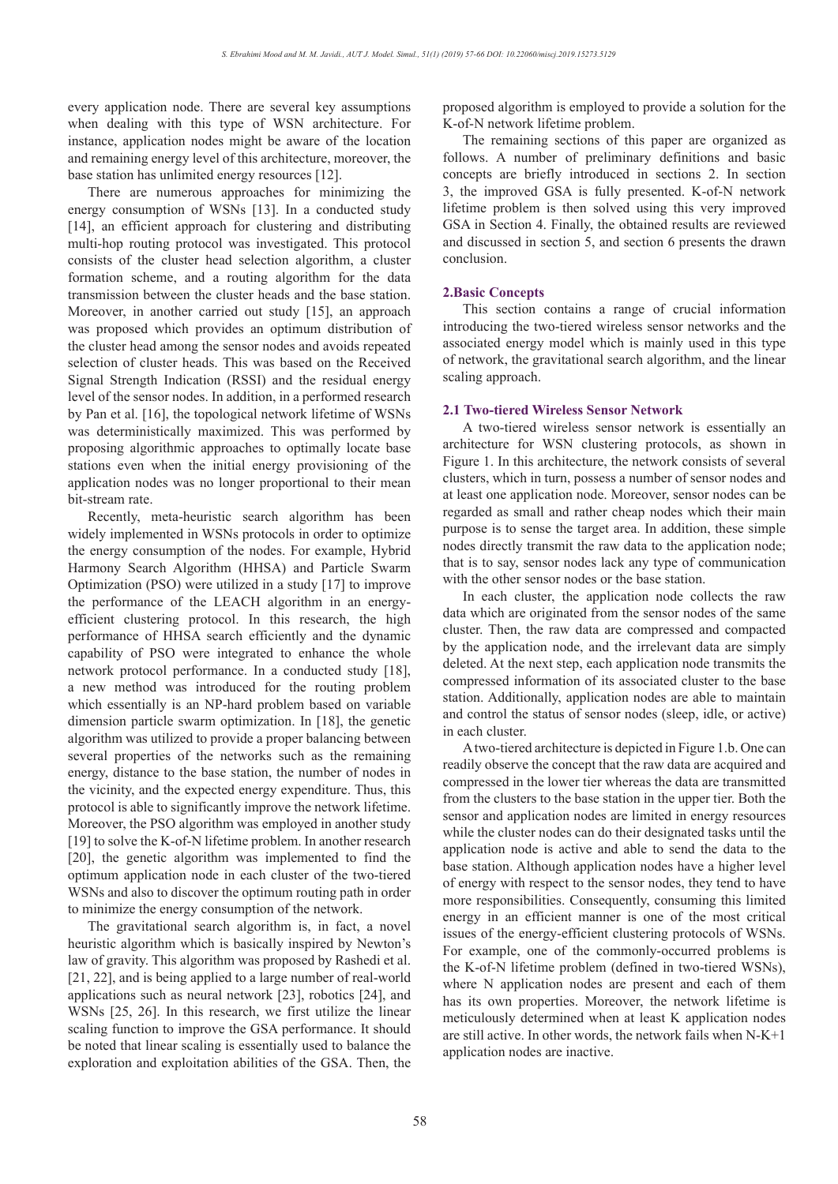every application node. There are several key assumptions when dealing with this type of WSN architecture. For instance, application nodes might be aware of the location and remaining energy level of this architecture, moreover, the base station has unlimited energy resources [12].

There are numerous approaches for minimizing the energy consumption of WSNs [13]. In a conducted study [14], an efficient approach for clustering and distributing multi-hop routing protocol was investigated. This protocol consists of the cluster head selection algorithm, a cluster formation scheme, and a routing algorithm for the data transmission between the cluster heads and the base station. Moreover, in another carried out study [15], an approach was proposed which provides an optimum distribution of the cluster head among the sensor nodes and avoids repeated selection of cluster heads. This was based on the Received Signal Strength Indication (RSSI) and the residual energy level of the sensor nodes. In addition, in a performed research by Pan et al. [16], the topological network lifetime of WSNs was deterministically maximized. This was performed by proposing algorithmic approaches to optimally locate base stations even when the initial energy provisioning of the application nodes was no longer proportional to their mean bit-stream rate.

Recently, meta-heuristic search algorithm has been widely implemented in WSNs protocols in order to optimize the energy consumption of the nodes. For example, Hybrid Harmony Search Algorithm (HHSA) and Particle Swarm Optimization (PSO) were utilized in a study [17] to improve the performance of the LEACH algorithm in an energyefficient clustering protocol. In this research, the high performance of HHSA search efficiently and the dynamic capability of PSO were integrated to enhance the whole network protocol performance. In a conducted study [18], a new method was introduced for the routing problem which essentially is an NP-hard problem based on variable dimension particle swarm optimization. In [18], the genetic algorithm was utilized to provide a proper balancing between several properties of the networks such as the remaining energy, distance to the base station, the number of nodes in the vicinity, and the expected energy expenditure. Thus, this protocol is able to significantly improve the network lifetime. Moreover, the PSO algorithm was employed in another study [19] to solve the K-of-N lifetime problem. In another research [20], the genetic algorithm was implemented to find the optimum application node in each cluster of the two-tiered WSNs and also to discover the optimum routing path in order to minimize the energy consumption of the network.

The gravitational search algorithm is, in fact, a novel heuristic algorithm which is basically inspired by Newton's law of gravity. This algorithm was proposed by Rashedi et al. [21, 22], and is being applied to a large number of real-world applications such as neural network [23], robotics [24], and WSNs [25, 26]. In this research, we first utilize the linear scaling function to improve the GSA performance. It should be noted that linear scaling is essentially used to balance the exploration and exploitation abilities of the GSA. Then, the proposed algorithm is employed to provide a solution for the K-of-N network lifetime problem.

The remaining sections of this paper are organized as follows. A number of preliminary definitions and basic concepts are briefly introduced in sections 2. In section 3, the improved GSA is fully presented. K-of-N network lifetime problem is then solved using this very improved GSA in Section 4. Finally, the obtained results are reviewed and discussed in section 5, and section 6 presents the drawn conclusion.

# **2.Basic Concepts**

This section contains a range of crucial information introducing the two-tiered wireless sensor networks and the associated energy model which is mainly used in this type of network, the gravitational search algorithm, and the linear scaling approach.

# **2.1 Two-tiered Wireless Sensor Network**

A two-tiered wireless sensor network is essentially an architecture for WSN clustering protocols, as shown in Figure 1. In this architecture, the network consists of several clusters, which in turn, possess a number of sensor nodes and at least one application node. Moreover, sensor nodes can be regarded as small and rather cheap nodes which their main purpose is to sense the target area. In addition, these simple nodes directly transmit the raw data to the application node; that is to say, sensor nodes lack any type of communication with the other sensor nodes or the base station.

In each cluster, the application node collects the raw data which are originated from the sensor nodes of the same cluster. Then, the raw data are compressed and compacted by the application node, and the irrelevant data are simply deleted. At the next step, each application node transmits the compressed information of its associated cluster to the base station. Additionally, application nodes are able to maintain and control the status of sensor nodes (sleep, idle, or active) in each cluster.

A two-tiered architecture is depicted in Figure 1.b. One can readily observe the concept that the raw data are acquired and compressed in the lower tier whereas the data are transmitted from the clusters to the base station in the upper tier. Both the sensor and application nodes are limited in energy resources while the cluster nodes can do their designated tasks until the application node is active and able to send the data to the base station. Although application nodes have a higher level of energy with respect to the sensor nodes, they tend to have more responsibilities. Consequently, consuming this limited energy in an efficient manner is one of the most critical issues of the energy-efficient clustering protocols of WSNs. For example, one of the commonly-occurred problems is the K-of-N lifetime problem (defined in two-tiered WSNs), where N application nodes are present and each of them has its own properties. Moreover, the network lifetime is meticulously determined when at least K application nodes are still active. In other words, the network fails when N-K+1 application nodes are inactive.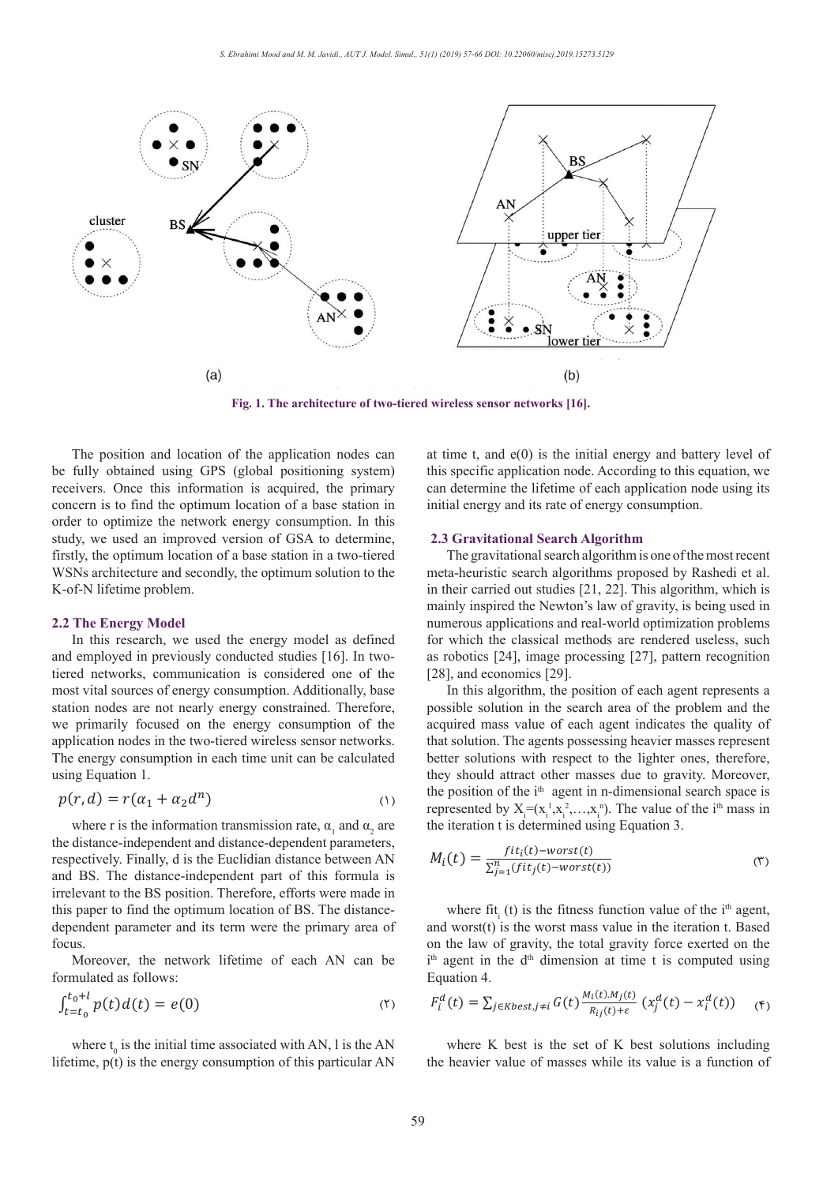

The position and location of the application nodes can be fully obtained using GPS (global positioning system) receivers. Once this information is acquired, the primary concern is to find the optimum location of a base station in initial energy order to optimize the network energy consumption. In this study, we used an improved version of GSA to determine, firstly, the optimum location of a base station in a two-tiered The gi WSNs architecture and secondly, the optimum solution to the K-of-N lifetime problem.

#### **2.2 The Energy Model**

In this research, we used the energy model as defined and employed in previously conducted studies [16]. In twotiered networks, communication is considered one of the [28], and most vital sources of energy consumption. Additionally, base station nodes are not nearly energy constrained. Therefore, we primarily focused on the energy consumption of the application nodes in the two-tiered wireless sensor networks. The energy consumption in each time unit can be calculated l using Equation 1.

$$
p(r,d) = r(\alpha_1 + \alpha_2 d^n) \tag{1}
$$

where r is the information transmission rate,  $\alpha_1$  and  $\alpha_2$  are the distance-independent and distance-dependent parameters, respectively. Finally, d is the Euclidian distance between AN  $M_i(t) = \frac{fit_i(t) - worst(t)}{\sum_{i=1}^{n} (fit_j(t) - worst(t))}$ and BS. The distance-independent part of this formula is irrelevant to the BS position. Therefore, efforts were made in this paper to find the optimum location of BS. The distancedependent parameter and its term were the primary area of focus focus.

formulated as follows:

$$
\int_{t=t_0}^{t_0+l} p(t) d(t) = e(0) \qquad \qquad (7) \qquad F_i^d(t) = \sum_{j \in Kbest, j \neq i} G(t) \frac{M_i(t)}{R_{ij}}
$$

where  $t_0$  is the initial time associated with AN, l is the AN where K best is the set of time  $p(t)$  is the aparent concumption of this particular AN the heavier value of masses where lifetime, p(t) is the energy consumption of this particular AN  $\mathcal{L}(\mathcal{L}) = \mathcal{L}(\mathcal{L})$ 

at time t, and  $e(0)$  is the initial energy and battery level of this specific application node. According to this equation, we can determine the lifetime of each application node using its initial energy and its rate of energy consumption.

#### **2.3 Gravitational Search Algorithm**

The gravitational search algorithm is one of the most recent meta-heuristic search algorithms proposed by Rashedi et al. in their carried out studies [21, 22]. This algorithm, which is mainly inspired the Newton's law of gravity, is being used in numerous applications and real-world optimization problems for which the classical methods are rendered useless, such as robotics [24], image processing [27], pattern recognition [28], and economics [29].

In this algorithm, the position of each agent represents a possible solution in the search area of the problem and the  $\alpha$  acquired mass value of each agent indicates the quality of that solution. The agents possessing heavier masses represent better solutions with respect to the lighter ones, therefore, they should attract other masses due to gravity. Moreover, they should attract other masses due to gravity. Moreover, the position of the  $i<sup>th</sup>$  agent in n-dimensional search space is  $p(r, d) = r(\alpha_1 + \alpha_2 d^n)$ <br>
(1) the position of the independent of the infinitent measurement of the i<sup>th</sup> mass in represented by  $X_i = (x_i^1, x_i^2, ..., x_i^n)$ . The value of the i<sup>th</sup> mass in the iteration  $t$  is determined using Equation 3.

$$
M_i(t) = \frac{fit_i(t) - worst(t)}{\sum_{j=1}^{n} (fit_j(t) - worst(t))}
$$
 (7)

where fit<sub>i</sub> (t) is the fitness function value of the i<sup>th</sup> agent,  $d$  worst<sup>(t)</sup>, is the worst mass value in the iteration t. Based re the primary area of and worst(t) is the worst mass value in the iteration t. Based on the law of gravity, the total gravity force exerted on the for the law of gravity, the total gravity force exerted on the  $i<sup>th</sup>$  agent in the  $d<sup>th</sup>$  dimension at time t is computed using Equation 4. Equation 4. ocus.<br>
Moreover, the network lifetime of each AN can be  $\mathbf{I}^{\text{th}}$  agent in the  $\mathbf{d}^{\text{th}}$  dimension and where  $\Pi_{i}$  (t) is the fitness function value<br>and worst(t) is the worst mass value in the it

$$
F_i^d(t) = \sum_{j \in Kbest, j \neq i} G(t) \frac{M_i(t) \cdot M_j(t)}{R_{ij}(t) + \varepsilon} \left( x_j^d(t) - x_i^d(t) \right) \quad \text{(F)}
$$

where  $K$  best is the set of  $K$  best solutions including where K best is the set of K best solutions including<br>the heavier value of masses while its value is a function of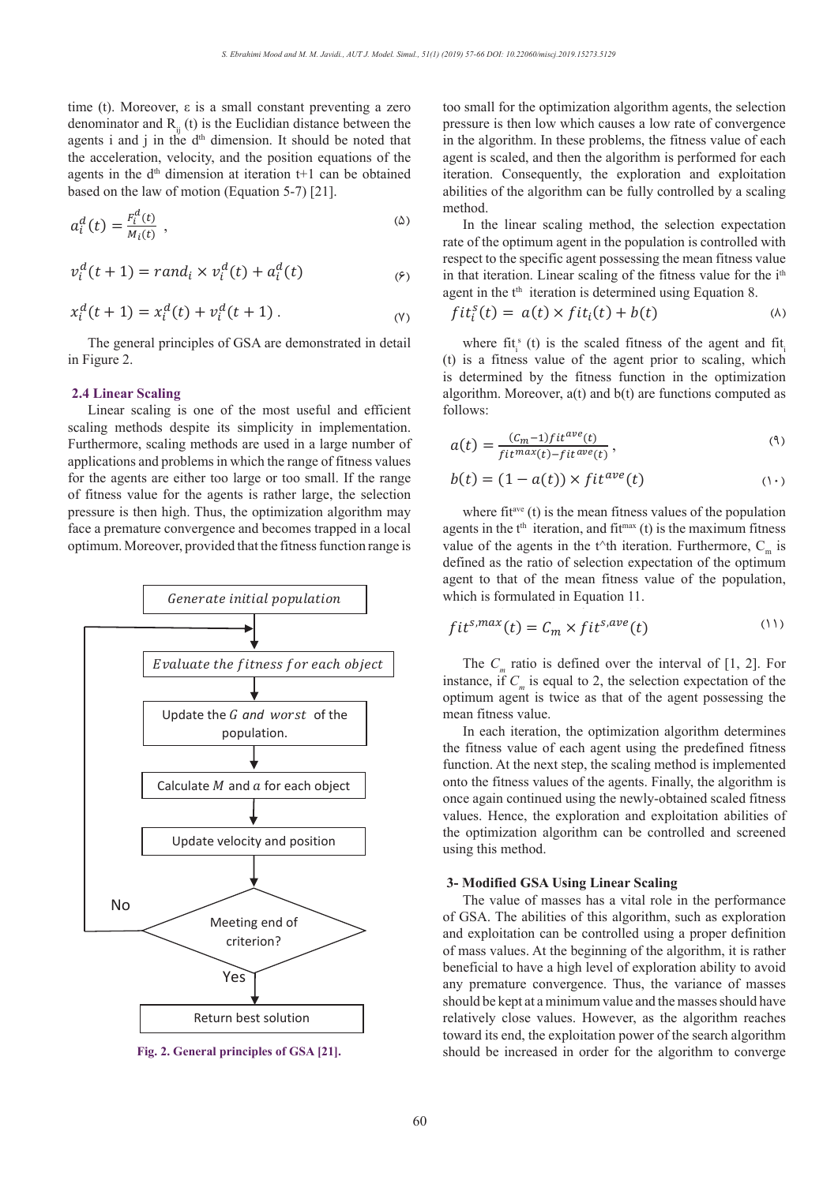time (t). Moreover, ε is a small constant preventing a zero time (t). Moreover,  $\varepsilon$  is a small constant preventing a zero denominator and  $R_{ij}$  (t) is the Euclidian distance between the agents i and j in the d<sup>th</sup> dimension. It should be noted that the acceleration, velocity, and the position equations of the agents in the d<sup>th</sup> dimension at iteration t+1 can be obtained iteration. Consequently, the set of the classificance of methods  $\overline{E}$  (5)  $\overline{E}$  (3)  $\overline{E}$  (4) and  $\overline{E}$  (4) and  $\overline{E}$  (4) and  $\overline{E}$  (4) and based on the law of motion (Equation 5-7) [21]. consum prevening a zero<br>didion distance between the spressure is then low which

$$
a_i^d(t) = \frac{F_i^d(t)}{M_i(t)}
$$
,\n
$$
\sum_{\text{rate of the continuum agent in the population is controlled with}}^{\text{in the time}} \sum_{i=1}^{\text{in the time}} \frac{F_i^d(t)}{T_i^d}
$$

$$
v_i^d(t+1) = rand_i \times v_i^d(t) + a_i^d(t)
$$
\n
$$
\tag{\varphi}
$$

$$
x_i^d(t+1) = x_i^d(t) + v_i^d(t+1) \,.
$$
 (v)  $fit_i^s(t) = a(t) \times fit_i$ 

The general principles of GSA are demonstrated in detail in Figure 2.

# **2.4 Linear Scaling**

Linear scaling is one of the most useful and efficient scaling methods despite its simplicity in implementation.  $(0, 1)$   $(100\%$ Furthermore, scaling methods are used in a large number of  $a(t) = \frac{(c_m - 1) \pi t}{fit^{max}(t) - fit^{ave}(t)}$ applications and problems in which the range of fitness values for the agents are either too large or too small. If the range  $b(t) = (1 - a(t)) \times fit$ of fitness value for the agents is rather large, the selection pressure is then high. Thus, the optimization algorithm may face a premature convergence and becomes trapped in a local race a premature convergence and becomes trapped in a local agents in the  $t^{\text{th}}$  terration, and optimum. Moreover, provided that the fitness function range is value of the agents in the  $t^{\text{th}}$ **Fig. 1**. The architecture of two-tiered wireless sensor networks [16].



**Fig. 2.** General principles of GSA [21]. **Fig. 2. General principles of GSA [21].**

too small for the optimization algorithm agents, the selection pressure is then low which causes a low rate of convergence  $\mu$  essure is then low which causes a low rate of convergence in the algorithm. In these problems, the fitness value of each agent is scaled, and then the algorithm is performed for each iteration. Consequently, the exploration and exploitation is detailed by a scaling and distribution of the algorithm can be followed that a scaling  $\alpha$  abilities of the algorithm can be fully controlled by a scaling method. method.

In the inear scaling method, the selection expectation rate of the optimum agent in the population is controlled with respect to the specific agent possessing the mean fitness value  $\int_{i}^{d}(t)$  ( $\epsilon$ ) in that iteration. Linear scaling of the fitness value for the i<sup>th</sup> agent in the t<sup>th</sup> iteration is determined using Equation 8.<br>( $\frac{61.8}{100}$  =  $\frac{61.8}{100}$  +  $\frac{161.8}{100}$ ) +  $\frac{161.8}{100}$ 

$$
fit_i^s(t) = a(t) \times fit_i(t) + b(t) \tag{A}
$$

where  $\text{fit}_{i}^{s}$  (t) is the scaled fitness of the agent and  $\text{fit}_{i}$ The general principles of GSA are demonstrated in detail where  $f_i^s$  (t) is the scaled fitness of the agent and  $f_i^s$  in Figure 2. (t) is a fitness value of the agent prior to scaling, which is determined by the fitness function in the optimization  $(0, 1, 1)$ algorithm. Moreover, a(t) and b(t) are functions computed as<br>
inear scaling is one of the most useful and efficient follows: follows:  $\mathcal{L}(\mathcal{L})$  ,  $\mathcal{L}(\mathcal{L})$  ,  $\mathcal{L}(\mathcal{L})$  $\Delta$  ()  $\Delta$  ()  $\Delta$  ()  $\Delta$  ()  $\Delta$  ()  $\Delta$  ()  $\Delta$  ()  $\Delta$  ()  $\Delta$  ()  $\Delta$  ()  $\Delta$  ()  $\Delta$  ()  $\Delta$  ()  $\Delta$  ()  $\Delta$  ()  $\Delta$  ()  $\Delta$  ()  $\Delta$  ()  $\Delta$  ()  $\Delta$  ()  $\Delta$  ()  $\Delta$  ()  $\Delta$  ()  $\Delta$  ()  $\Delta$  ()  $\Delta$  ()  $\Delta$  ()  $\Delta$   $\frac{1}{\sqrt{2}}$  . (11)

$$
a(t) = \frac{(C_m - 1)fit^{ave}(t)}{fit^{max}(t) - fit^{ave}(t)},
$$
\n(9)

$$
b(t) = (1 - a(t)) \times fit^{ave}(t)
$$
 (1)

where fit<sup>ave</sup> (t) is the mean fitness values of the population agents in the t<sup>th</sup> iteration, and fit<sup>max</sup> (t) is the maximum fitness<br>value of the agents in the t<sup>oth</sup> iteration. Furthermore, C, is value of the agents in the t^th iteration. Furthermore,  $C_m$  is defined as the ratio of selection expectation of the optimum<br>agent to that of the mean fitness value of the population defined as the ratio of selection expectation of the optimum agent to that of the mean fitness value of the population, which is formulated in Equation  $11$ . where fit<sup>ave</sup> (t) is the mean fitness values of the population max

$$
fit^{s,max}(t) = C_m \times fit^{s,ave}(t)
$$
 (1)

The  $C_m$  ratio is defined over the interval of [1, 2]. For natance if  $C$  is equal to 2, the selection expectation of the *Evaluate the j trness for each object*<br>  $\begin{bmatrix}\n\text{if } C_m \text{ and } \text{ is defined over the interval of } [1, 2]. \text{ For } n \text{ is equal to } 2, \text{ the selection expectation of the}\n\end{bmatrix}$ optimum agent is twice as that of the agent possessing the mean fitness value.<br>In each iteration

an fitness value.<br>In each iteration, the optimization algorithm determines the fitness value of each agent using the predefined fitness function. At the next step, the scaling method is implemented onto the fitness values of the agents. Finally, the algorithm is once again continued using the newly-obtained scaled fitness onto the fitness values of the agents. Finally, the algorithm is once again continued using the newly-obtained scaled fitness values. Hence, the exploration and exploitation abilities of the optimization algorithm can be controlled and screened using this method.  $n_{\text{ethod.}}$ population. The same is more in the fitness value of each agent using the predefined fitness

## **3- Modified GSA Using Linear Scaling**

The value of masses has a vital role in the performance of GSA. The abilities of this algorithm, such as exploration and exploitation can be controlled using a proper definition of mass values. At the beginning of the algorithm, it is rather beneficial to have a high level of exploration ability to avoid any premature convergence. Thus, the variance of masses should be kept at a minimum value and the masses should have relatively close values. However, as the algorithm reaches toward its end, the exploitation power of the search algorithm should be increased in order for the algorithm to converge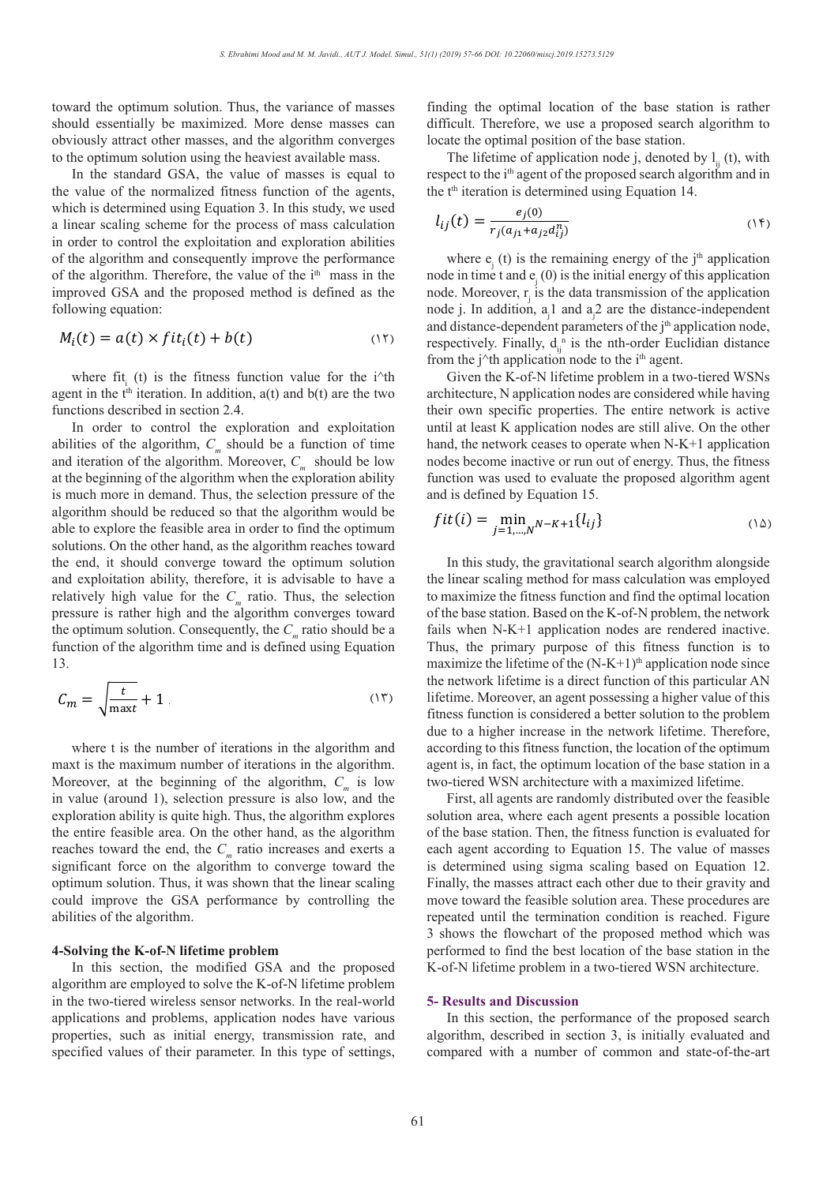toward the optimum solution. Thus, the variance of masses finding the optimal location o should essentially be maximized. More dense masses can obviously attract other masses, and the algorithm converges locate the optimal position of the set the optimum solution weight belowing the heaviert cycloble mass to the optimum solution using the heaviest available mass.

In the standard GSA, the value of masses is equal to value of the parameter  $\frac{1}{2}$ In the standard OSA, the value of masses is equal to<br>the value of the normalized fitness function of the agents, which is determined using Equation 3. In this study, we used  $e_j(0)$ a linear scaling scheme for the process of mass calculation  $l_{ij}(t) = \frac{e_j(0)}{r_i(a_{ij} + a_{ij}d_i^2)}$ in order to control the exploitation and exploration abilities<br>of the algorithm and consequently improve the performance of the algorithm and consequently improve the performance where  $e_i(t)$  is the remaining of the algorithm and consequently improve the performance of the algorithm. Therefore, the value of the  $i<sup>th</sup>$  mass in the improved  $G(\lambda)$  and the magnetic duction defined as the improved GSA and the proposed method is defined as the line can  $\mathbf{C}_i$  ( $\mathbf{C}_j$ ) is the line improved GSA and the proposed method is defined as the line can  $\mathbf{C}_i$  ( $\mathbf{C}_j$ ) is the data trangent following equation:

$$
M_i(t) = a(t) \times fit_i(t) + b(t)
$$
 and distance-dependent parameter  
respectively. Finally,  $d_{ii}^{\text{in}}$  is the net

where fit<sub>i</sub> (t) is the fitness function value for the i<sup> $\wedge$ th</sup> where  $\pi_i$  (t) is the funess function value for the r the construction in the t<sup>th</sup> iteration. In addition, a(t) and b(t) are the two architecture, N application nodes agent in the  $t<sup>m</sup>$  iteration. In addition<br>functions described in section 2.4.

In order to control the exploration and exploitation In order to control the exploration and exploitation abilities of the algorithm,  $C_m$  should be a function of time and iteration of the algorithm. Moreover,  $C_m$  should be low and iteration of the algorithm. Moreover,  $C_m$  should be low hodes become inactive or run out at the beginning of the algorithm when the exploration ability function was used to evaluate the is much more in demand. Thus, the selection pressure of the algorithm should be reduced so that the algorithm would be  $fit(i) = \min_{N-K+1} \{l_{ij}\}$ able to explore the feasible area in order to find the optimum solutions. On the other hand, as the algorithm reaches toward  $f=1,...,N$ <br>solutions. On the other hand, as the algorithm reaches toward the end, it should converge toward the optimum solution and exploitation ability, therefore, it is advisable to have a  $\blacksquare$  the linear scaling method for mas relatively high value for the  $C_m$  ratio. Thus, the selection to maximize the fitness function a<br>pressure is rather high and the slogithm converges toward of the base station. Based on the K pressure is rather high and the algorithm converges toward of the base station. Based on the K the optimum solution. Consequently, the  $C_m$  ratio should be a fails when N-K+1 application in function of the electric time and is defined using Equation. function of the algorithm time and is defined using Equation 13.

$$
C_m = \sqrt{\frac{t}{\max t}} + 1 \tag{17}
$$

where t is the number of iterations in the algorithm and maxt is the maximum number of iterations in the algorithm. maxt is the maximum number of iterations in the algorithm. agent is, in fact, the optimum local Moreover, at the beginning of the algorithm,  $C_m$  is low two-tiered WSN architecture with in value (around 1), selection pressure is also low, and the exploration ability is quite high. Thus, the algorithm explores the entire feasible area. On the other hand, as the algorithm of the base station. Then, the fitne<br>reaches toward the end, the  $C$  ratio increases and exerts a consequent according to Equation reaches toward the end, the  $C_m$  ratio increases and exerts a significant force on the algorithm to converge toward the optimum solution. Thus, it was shown that the linear scaling could improve the GSA performance by controlling the move toward the feasible solution abilities of the algorithm.

#### **4-Solving the K-of-N lifetime problem**

In this section, the modified GSA and the proposed algorithm are employed to solve the K-of-N lifetime problem in the two-tiered wireless sensor networks. In the real-world applications and problems, application nodes have various properties, such as initial energy, transmission rate, and specified values of their parameter. In this type of settings,

finding the optimal location of the base station is rather difficult. Therefore, we use a proposed search algorithm to gorithm converges locate the optimal position of the base station.

The lifetime of application node j, denoted by  $l_{ij}$  (t), with spenet to the i<sup>th</sup> agent of the proposed search algorithm and in value of masses is equal to respect to the  $i<sup>th</sup>$  agent of the proposed search algorithm and in the t<sup>th</sup> iteration is determined using Equation 14. IC<br>>t 1

$$
l_{ij}(t) = \frac{e_j(0)}{r_j(a_{j1} + a_{j2}a_{ij}^n)}
$$
 (15)

where  $e_j$  (t) is the remaining energy of the j<sup>th</sup> application of the i<sup>th</sup> mass in the node in time t and  $e_j(0)$  is the initial energy of this application of the i<sup>th</sup> mass in the node. Moreover,  $r_j$  is the data transmission of the application node. Moreover,  $r_j$  is the data transmission of the application bllowing equation:  $\qquad \qquad \text{node } j. \text{ In addition, } a_j 1 \text{ and } a_j 2 \text{ are the distance-independent}$ and distance-dependent parameters of the  $j<sup>th</sup>$  application node, respectively. Finally,  $d_{ij}^{n}$  is the nth-order Euclidian distance<br>from the i<sup>64</sup> application node to the i<sup>th</sup> agent from the j<sup>^t</sup>h application node to the i<sup>th</sup> agent.

Given the K-of-N lifetime problem in a two-tiered WSNs  $\frac{1}{2}$  architecture, N application nodes are considered while having their own specific properties. The entire network is active bed in section 2.4. and exploitation until at least K application nodes are still alive. On the other a function of time hand, the network ceases to operate when  $N_K+1$  application hand, the network ceases to operate when N-K+1 application mand, the network ceases to operate when  $N - N + 1$  application<br>nodes become inactive or run out of energy. Thus, the fitness when the exploration ability function was used to evaluate the proposed algorithm agent and is defined by Equation 15.

$$
fit(i) = \min_{j=1,\dots,N} N - K + 1\{l_{ij}\}\tag{1\,\Delta}
$$

In this study, the gravitational search algorithm alongside the linear scaling method for mass calculation was employed<br>to maximize the fitness function and find the optimal location to maximize the fitness function and find the optimal location to maximize the fitness function and find the optimal location of the base station. Based on the K-of-N problem, the network fails when N-K+1 application nodes are rendered inactive. Thus, the primary purpose of this fitness function is to maximize the lifetime of the  $(N-K+1)$ <sup>th</sup> application node since the network lifetime is a direct function of this particular AN + 1 (1) lifetime. Moreover, an agent possessing a higher value of this fitness function is considered a better solution to the problem due to a higher increase in the network lifetime. Therefore, according to this fitness function, the location of the optimum agent is, in fact, the optimum location of the base station in a two-tiered WSN architecture with a maximized lifetime.

> First, all agents are randomly distributed over the feasible solution area, where each agent presents a possible location of the base station. Then, the fitness function is evaluated for each agent according to Equation 15. The value of masses is determined using sigma scaling based on Equation 12. Finally, the masses attract each other due to their gravity and move toward the feasible solution area. These procedures are repeated until the termination condition is reached. Figure 3 shows the flowchart of the proposed method which was performed to find the best location of the base station in the K-of-N lifetime problem in a two-tiered WSN architecture.

#### **5- Results and Discussion**

In this section, the performance of the proposed search algorithm, described in section 3, is initially evaluated and compared with a number of common and state-of-the-art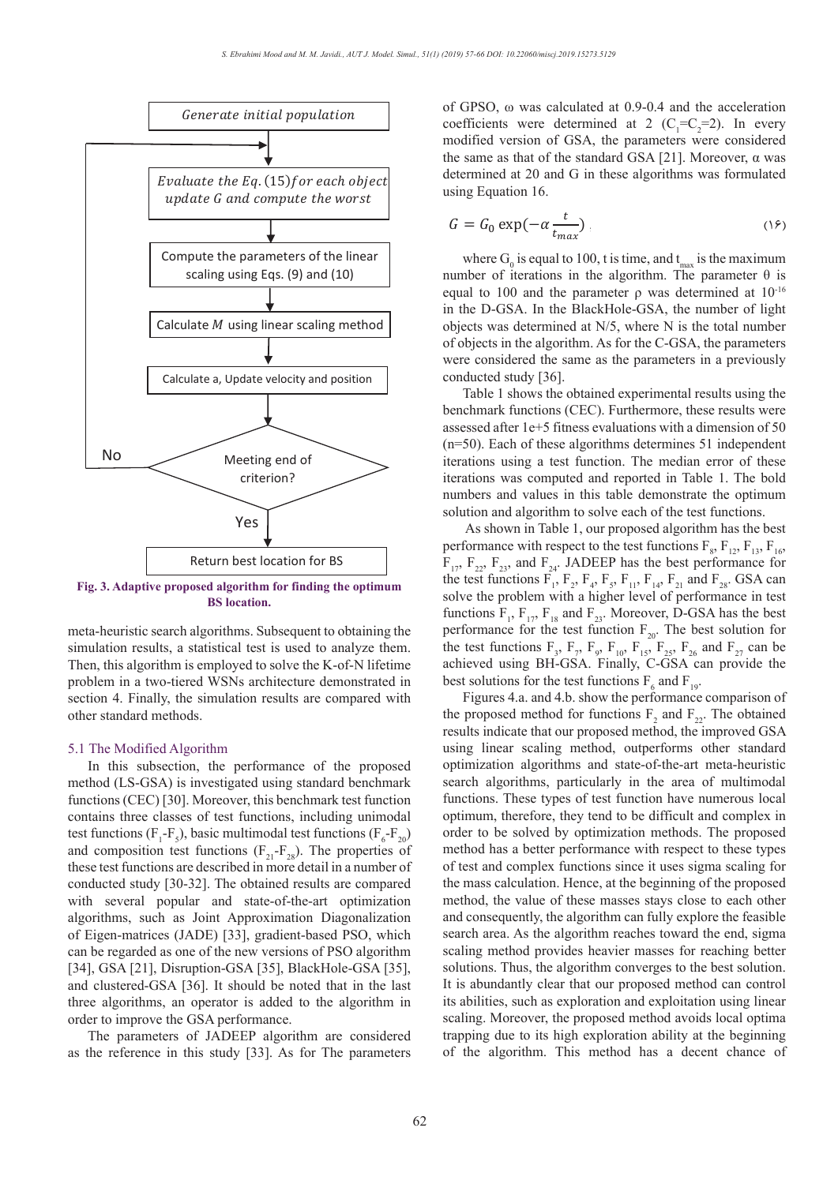

**Fig. 3.** Adaptive proposed algorithm for finding the optimum<br>BS location.

meta-heuristic search algorithms. Subsequent to obtaining the simulation results, a statistical test is used to analyze them. Then, this algorithm is employed to solve the K-of-N lifetime problem in a two-tiered WSNs architecture demonstrated in section 4. Finally, the simulation results are compared with other standard methods.

#### 5.1 The Modified Algorithm

In this subsection, the performance of the proposed method (LS-GSA) is investigated using standard benchmark functions (CEC) [30]. Moreover, this benchmark test function contains three classes of test functions, including unimodal test functions ( $F_1$ - $F_5$ ), basic multimodal test functions ( $F_6$ - $F_{20}$ ) and composition test functions  $(F_{21}-F_{28})$ . The properties of these test functions are described in more detail in a number of **(a) (b)** conducted study [30-32]. The obtained results are compared the mass c with several popular and state-of-the-art optimization algorithms, such as Joint Approximation Diagonalization of Eigen-matrices (JADE) [33], gradient-based PSO, which can be regarded as one of the new versions of PSO algorithm [34], GSA [21], Disruption-GSA [35], BlackHole-GSA [35], and clustered-GSA [36]. It should be noted that in the last three algorithms, an operator is added to the algorithm in order to improve the GSA performance.

> The parameters of JADEEP algorithm are considered as the reference in this study [33]. As for The parameters

of GPSO,  $\omega$  was calculated at 0.9-0.4 and the acceleration coefficients were determined at 2 ( $C_1 = C_2 = 2$ ). In every modified version of GSA, the parameters were considered the same as that of the standard GSA [21]. Moreover,  $\alpha$  was determined at 20 and G in these algorithms was formulated determined at 20 and G in these algorithms was formulated using Equation 16.

$$
G = G_0 \exp(-\alpha \frac{t}{t_{max}}) \tag{18}
$$

where  $G_0$  is equal to 100, t is time, and  $t_{max}$  is the maximum number of iterations in the algorithm. The parameter  $θ$  is equal to 100 and the parameter  $ρ$  was determined at  $10<sup>-16</sup>$ in the D-GSA. In the BlackHole-GSA, the number of light objects was determined at N/5, where N is the total number of objects in the algorithm. As for the C-GSA, the parameters were considered the same as the parameters in a previously conducted study [36].

Table 1 shows the obtained experimental results using the benchmark functions (CEC). Furthermore, these results were assessed after 1e+5 fitness evaluations with a dimension of 50 (n=50). Each of these algorithms determines 51 independent iterations using a test function. The median error of these iterations was computed and reported in Table 1. The bold numbers and values in this table demonstrate the optimum solution and algorithm to solve each of the test functions.

 As shown in Table 1, our proposed algorithm has the best performance with respect to the test functions  $F_8$ ,  $F_{12}$ ,  $F_{13}$ ,  $F_{16}$ ,  $F_{17}$ ,  $F_{22}$ ,  $F_{23}$ , and  $F_{24}$ . JADEEP has the best performance for the test functions  $F_1$ ,  $F_2$ ,  $F_4$ ,  $F_5$ ,  $F_{11}$ ,  $F_{14}$ ,  $F_{21}$  and  $F_{28}$ . GSA can solve the problem with a higher level of performance in test functions  $F_1$ ,  $F_{17}$ ,  $F_{18}$  and  $F_{23}$ . Moreover, D-GSA has the best performance for the test function  $F_{20}$ . The best solution for the test functions  $F_3$ ,  $F_7$ ,  $F_9$ ,  $F_{10}$ ,  $F_{15}$ ,  $F_{25}$ ,  $F_{26}$  and  $F_{27}$  can be achieved using BH-GSA. Finally, C-GSA can provide the best solutions for the test functions  $F_6$  and  $F_{19}$ .

Figures 4.a. and 4.b. show the performance comparison of the proposed method for functions  $F_2$  and  $F_{22}$ . The obtained results indicate that our proposed method, the improved GSA using linear scaling method, outperforms other standard optimization algorithms and state-of-the-art meta-heuristic search algorithms, particularly in the area of multimodal functions. These types of test function have numerous local optimum, therefore, they tend to be difficult and complex in order to be solved by optimization methods. The proposed method has a better performance with respect to these types of test and complex functions since it uses sigma scaling for the mass calculation. Hence, at the beginning of the proposed method, the value of these masses stays close to each other and consequently, the algorithm can fully explore the feasible search area. As the algorithm reaches toward the end, sigma scaling method provides heavier masses for reaching better solutions. Thus, the algorithm converges to the best solution. It is abundantly clear that our proposed method can control its abilities, such as exploration and exploitation using linear scaling. Moreover, the proposed method avoids local optima trapping due to its high exploration ability at the beginning of the algorithm. This method has a decent chance of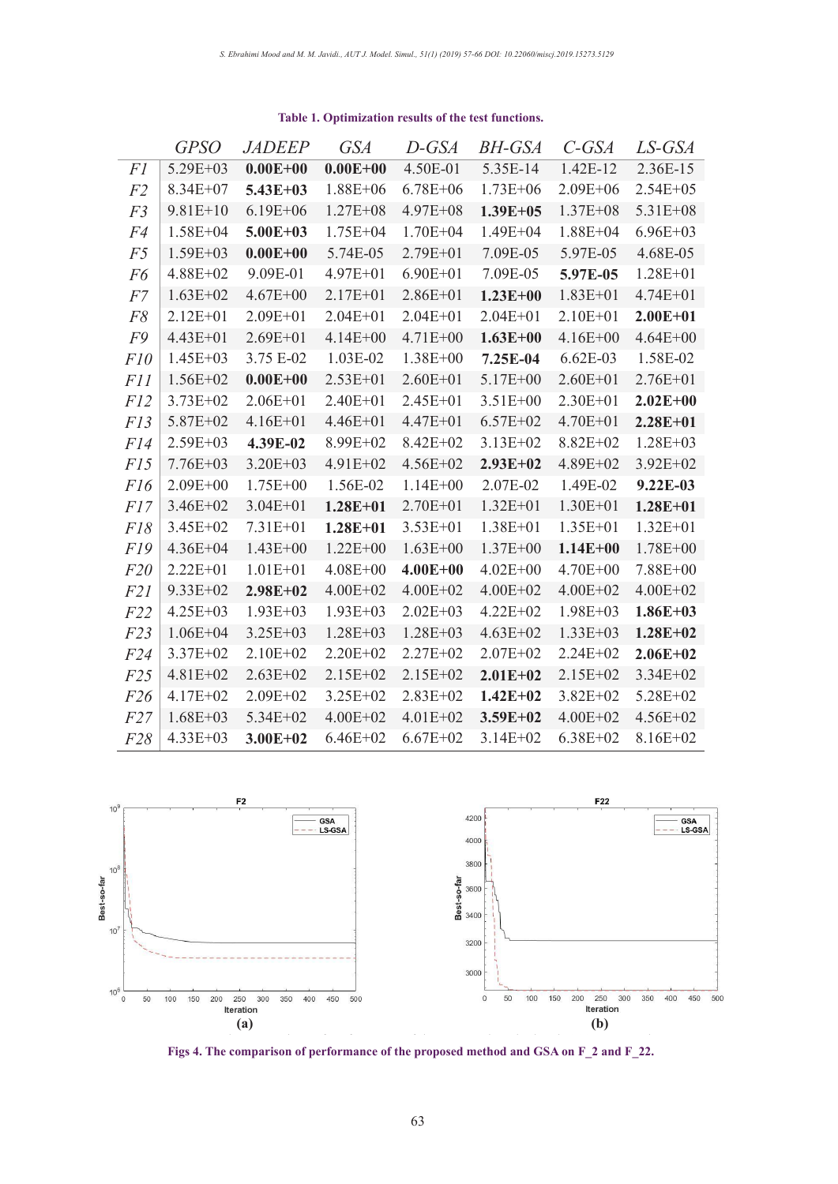|                 | <b>GPSO</b>  | <b>JADEEP</b> | <b>GSA</b>   | D-GSA        | <i>BH-GSA</i> | $C$ -GSA     | LS-GSA       |
|-----------------|--------------|---------------|--------------|--------------|---------------|--------------|--------------|
| <i>F1</i>       | $5.29E + 03$ | $0.00E + 00$  | $0.00E + 00$ | 4.50E-01     | 5.35E-14      | 1.42E-12     | 2.36E-15     |
| F2              | $8.34E + 07$ | $5.43E + 03$  | $1.88E + 06$ | $6.78E + 06$ | $1.73E + 06$  | $2.09E + 06$ | $2.54E + 05$ |
| F <sub>3</sub>  | $9.81E+10$   | $6.19E + 06$  | $1.27E + 08$ | $4.97E + 08$ | $1.39E + 05$  | $1.37E + 08$ | 5.31E+08     |
| F4              | $1.58E + 04$ | $5.00E + 03$  | $1.75E + 04$ | $1.70E + 04$ | $1.49E + 04$  | $1.88E + 04$ | $6.96E + 03$ |
| F <sub>5</sub>  | $1.59E + 03$ | $0.00E + 00$  | 5.74E-05     | $2.79E + 01$ | 7.09E-05      | 5.97E-05     | 4.68E-05     |
| F6              | $4.88E + 02$ | 9.09E-01      | $4.97E + 01$ | $6.90E + 01$ | 7.09E-05      | 5.97E-05     | $1.28E + 01$ |
| F7              | $1.63E + 02$ | $4.67E + 00$  | $2.17E + 01$ | $2.86E + 01$ | $1.23E + 00$  | $1.83E + 01$ | $4.74E + 01$ |
| F8              | $2.12E + 01$ | $2.09E + 01$  | $2.04E + 01$ | $2.04E + 01$ | $2.04E + 01$  | $2.10E + 01$ | $2.00E + 01$ |
| F9              | $4.43E + 01$ | $2.69E + 01$  | $4.14E + 00$ | 4.71E+00     | $1.63E + 00$  | $4.16E + 00$ | $4.64E + 00$ |
| F10             | $1.45E + 03$ | 3.75 E-02     | 1.03E-02     | $1.38E + 00$ | 7.25E-04      | $6.62E-03$   | 1.58E-02     |
| <i>F11</i>      | $1.56E + 02$ | $0.00E + 00$  | $2.53E + 01$ | $2.60E + 01$ | $5.17E + 00$  | $2.60E + 01$ | $2.76E + 01$ |
| F12             | $3.73E + 02$ | $2.06E + 01$  | $2.40E + 01$ | $2.45E + 01$ | $3.51E+00$    | $2.30E + 01$ | $2.02E + 00$ |
| F13             | 5.87E+02     | $4.16E + 01$  | 4.46E+01     | $4.47E + 01$ | $6.57E + 02$  | 4.70E+01     | $2.28E + 01$ |
| F14             | $2.59E + 03$ | 4.39E-02      | 8.99E+02     | $8.42E + 02$ | $3.13E + 02$  | 8.82E+02     | $1.28E + 03$ |
| F15             | $7.76E + 03$ | $3.20E + 03$  | $4.91E+02$   | $4.56E+02$   | $2.93E + 02$  | $4.89E + 02$ | $3.92E + 02$ |
| F16             | $2.09E + 00$ | $1.75E + 00$  | 1.56E-02     | $1.14E + 00$ | 2.07E-02      | 1.49E-02     | $9.22E-03$   |
| F17             | $3.46E + 02$ | $3.04E + 01$  | $1.28E + 01$ | $2.70E + 01$ | $1.32E + 01$  | $1.30E + 01$ | $1.28E + 01$ |
| F18             | $3.45E + 02$ | $7.31E + 01$  | $1.28E + 01$ | $3.53E + 01$ | $1.38E + 01$  | $1.35E + 01$ | $1.32E + 01$ |
| F19             | $4.36E + 04$ | $1.43E + 00$  | $1.22E + 00$ | $1.63E + 00$ | $1.37E + 00$  | $1.14E + 00$ | $1.78E + 00$ |
| F20             | $2.22E + 01$ | $1.01E + 01$  | $4.08E + 00$ | $4.00E + 00$ | $4.02E + 00$  | $4.70E + 00$ | 7.88E+00     |
| <i>F21</i>      | $9.33E + 02$ | $2.98E + 02$  | $4.00E + 02$ | $4.00E + 02$ | $4.00E + 02$  | $4.00E + 02$ | $4.00E + 02$ |
| F22             | $4.25E + 03$ | $1.93E + 03$  | $1.93E + 03$ | $2.02E + 03$ | $4.22E + 02$  | $1.98E + 03$ | $1.86E + 03$ |
| F23             | $1.06E + 04$ | $3.25E + 03$  | $1.28E + 03$ | $1.28E + 03$ | $4.63E + 02$  | $1.33E + 03$ | $1.28E + 02$ |
| F <sub>24</sub> | $3.37E + 02$ | $2.10E + 02$  | $2.20E + 02$ | $2.27E + 02$ | $2.07E + 02$  | $2.24E + 02$ | $2.06E + 02$ |
| F25             | $4.81E + 02$ | $2.63E + 02$  | $2.15E+02$   | $2.15E+02$   | $2.01E + 02$  | 2.15E+02     | $3.34E + 02$ |
| F26             | $4.17E + 02$ | $2.09E + 02$  | $3.25E+02$   | $2.83E+02$   | $1.42E + 02$  | $3.82E + 02$ | $5.28E+02$   |
| F27             | $1.68E + 03$ | 5.34E+02      | $4.00E + 02$ | $4.01E + 02$ | $3.59E + 02$  | $4.00E + 02$ | $4.56E + 02$ |
| F28             | $4.33E + 03$ | $3.00E + 02$  | $6.46E + 02$ | $6.67E + 02$ | $3.14E + 02$  | $6.38E + 02$ | 8.16E+02     |

# **Table 1. Optimization results of the test functions.** *Table 1. Optimization results of the test functions.*

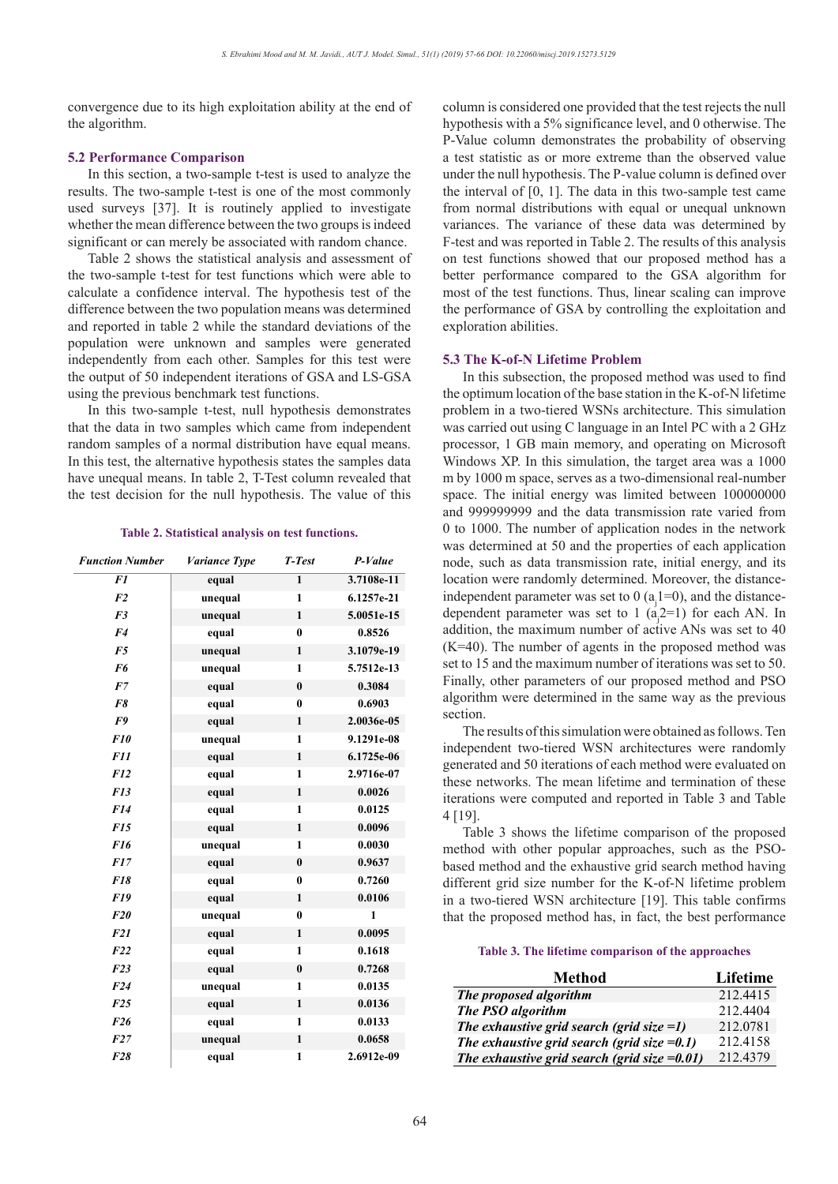convergence due to its high exploitation ability at the end of the algorithm.

#### **5.2 Performance Comparison**

In this section, a two-sample t-test is used to analyze the results. The two-sample t-test is one of the most commonly used surveys [37]. It is routinely applied to investigate whether the mean difference between the two groups is indeed significant or can merely be associated with random chance.

Table 2 shows the statistical analysis and assessment of the two-sample t-test for test functions which were able to calculate a confidence interval. The hypothesis test of the difference between the two population means was determined and reported in table 2 while the standard deviations of the population were unknown and samples were generated independently from each other. Samples for this test were the output of 50 independent iterations of GSA and LS-GSA using the previous benchmark test functions.

In this two-sample t-test, null hypothesis demonstrates that the data in two samples which came from independent random samples of a normal distribution have equal means. In this test, the alternative hypothesis states the samples data have unequal means. In table 2, T-Test column revealed that the test decision for the null hypothesis. The value of this

#### **Table 2. Statistical analysis on test functions.** *Table 2. Statistical analysis on test functions.*

| <b>Function Number</b> | Variance Type | T-Test       | P-Value      |
|------------------------|---------------|--------------|--------------|
| F1                     | equal         | $\mathbf{1}$ | 3.7108e-11   |
| F <sub>2</sub>         | unequal       | $\mathbf{1}$ | 6.1257e-21   |
| F <sub>3</sub>         | unequal       | 1            | 5.0051e-15   |
| F <sub>4</sub>         | equal         | $\bf{0}$     | 0.8526       |
| F <sub>5</sub>         | unequal       | 1            | 3.1079e-19   |
| F6                     | unequal       | 1            | 5.7512e-13   |
| F7                     | equal         | $\bf{0}$     | 0.3084       |
| F8                     | equal         | $\bf{0}$     | 0.6903       |
| F9                     | equal         | 1            | 2.0036e-05   |
| <b>F10</b>             | unequal       | 1            | 9.1291e-08   |
| <b>F11</b>             | equal         | $\mathbf{1}$ | 6.1725e-06   |
| F12                    | equal         | 1            | 2.9716e-07   |
| F13                    | equal         | $\mathbf{1}$ | 0.0026       |
| F14                    | equal         | 1            | 0.0125       |
| F15                    | equal         | $\mathbf{1}$ | 0.0096       |
| F <sub>16</sub>        | unequal       | 1            | 0.0030       |
| F17                    | equal         | $\bf{0}$     | 0.9637       |
| F18                    | equal         | $\bf{0}$     | 0.7260       |
| <b>F19</b>             | equal         | $\mathbf{1}$ | 0.0106       |
| F20                    | unequal       | $\bf{0}$     | $\mathbf{1}$ |
| F21                    | equal         | 1            | 0.0095       |
| F22                    | equal         | $\mathbf{1}$ | 0.1618       |
| F23                    | equal         | $\bf{0}$     | 0.7268       |
| F24                    | unequal       | $\mathbf{1}$ | 0.0135       |
| F25                    | equal         | $\mathbf{1}$ | 0.0136       |
| F26                    | equal         | $\mathbf{1}$ | 0.0133       |
| F27                    | unequal       | $\mathbf{1}$ | 0.0658       |
| F28                    | equal         | $\mathbf{1}$ | 2.6912e-09   |

column is considered one provided that the test rejects the null hypothesis with a 5% significance level, and 0 otherwise. The P-Value column demonstrates the probability of observing a test statistic as or more extreme than the observed value under the null hypothesis. The P-value column is defined over the interval of [0, 1]. The data in this two-sample test came from normal distributions with equal or unequal unknown variances. The variance of these data was determined by F-test and was reported in Table 2. The results of this analysis on test functions showed that our proposed method has a better performance compared to the GSA algorithm for most of the test functions. Thus, linear scaling can improve the performance of GSA by controlling the exploitation and exploration abilities.

# **5.3 The K-of-N Lifetime Problem**

In this subsection, the proposed method was used to find the optimum location of the base station in the K-of-N lifetime problem in a two-tiered WSNs architecture. This simulation was carried out using C language in an Intel PC with a 2 GHz processor, 1 GB main memory, and operating on Microsoft Windows XP. In this simulation, the target area was a 1000 m by 1000 m space, serves as a two-dimensional real-number space. The initial energy was limited between 100000000 and 999999999 and the data transmission rate varied from 0 to 1000. The number of application nodes in the network was determined at 50 and the properties of each application node, such as data transmission rate, initial energy, and its location were randomly determined. Moreover, the distanceindependent parameter was set to 0  $(a_j 1=0)$ , and the distancedependent parameter was set to 1  $(a_j^2=1)$  for each AN. In addition, the maximum number of active ANs was set to 40  $(K=40)$ . The number of agents in the proposed method was set to 15 and the maximum number of iterations was set to 50. Finally, other parameters of our proposed method and PSO algorithm were determined in the same way as the previous section.

The results of this simulation were obtained as follows. Ten independent two-tiered WSN architectures were randomly generated and 50 iterations of each method were evaluated on these networks. The mean lifetime and termination of these iterations were computed and reported in Table 3 and Table 4 [19].

Table 3 shows the lifetime comparison of the proposed method with other popular approaches, such as the PSObased method and the exhaustive grid search method having different grid size number for the K-of-N lifetime problem in a two-tiered WSN architecture [19]. This table confirms that the proposed method has, in fact, the best performance

# **Table 3. The lifetime comparison of the approaches** *Table 3. The lifetime comparison of the approaches*

| <b>Method</b>                                    | Lifetime |
|--------------------------------------------------|----------|
| The proposed algorithm                           | 212.4415 |
| The PSO algorithm                                | 212.4404 |
| The exhaustive grid search (grid size =1)        | 212.0781 |
| The exhaustive grid search (grid size $=0.1$ )   | 212.4158 |
| The exhaustive grid search (grid size = $0.01$ ) | 212.4379 |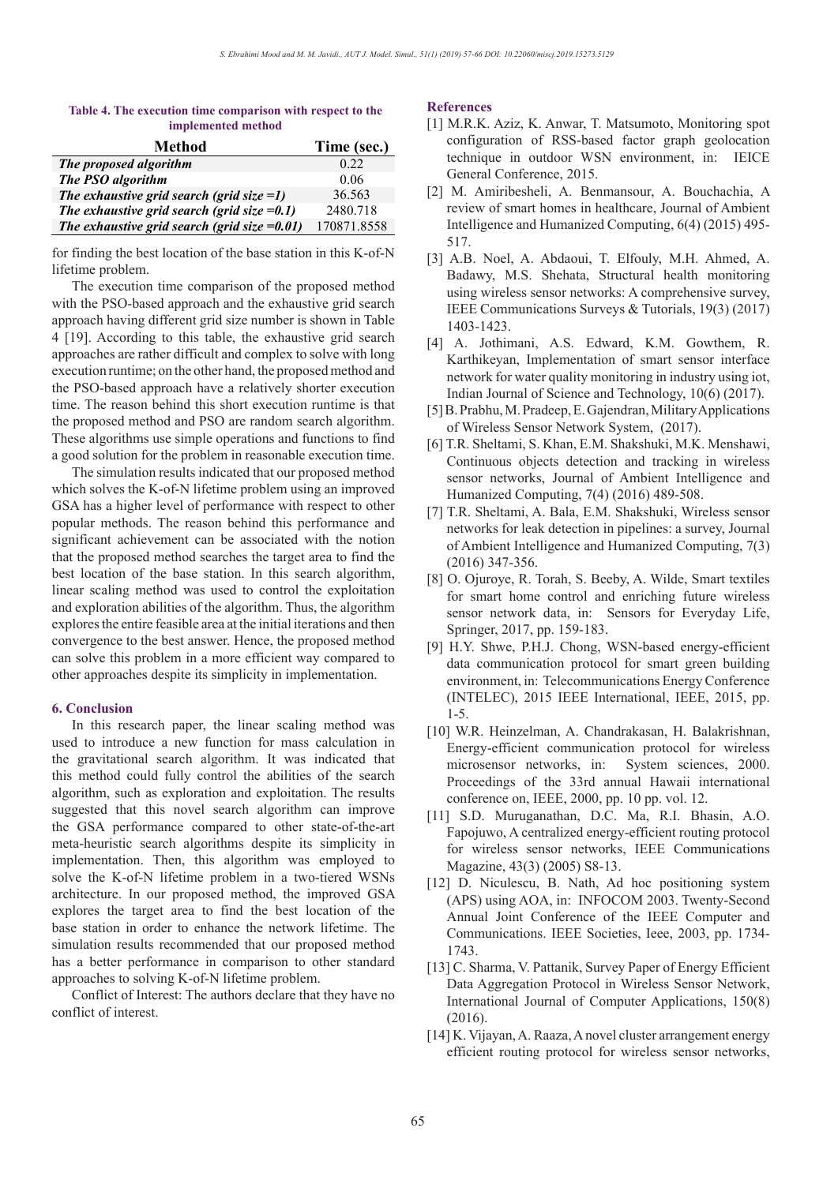# **Table 4. The execution time comparison with respect to the**  *implemented method.*

| <b>Method</b>                                   | Time (sec.) |
|-------------------------------------------------|-------------|
| The proposed algorithm                          | 0.22        |
| The PSO algorithm                               | 0.06        |
| The exhaustive grid search (grid size $=1$ )    | 36.563      |
| The exhaustive grid search (grid size $=0.1$ )  | 2480.718    |
| The exhaustive grid search (grid size $=0.01$ ) | 170871.8558 |

for finding the best location of the base station in this K-of-N lifetime problem.

The execution time comparison of the proposed method with the PSO-based approach and the exhaustive grid search approach having different grid size number is shown in Table 4 [19]. According to this table, the exhaustive grid search approaches are rather difficult and complex to solve with long execution runtime; on the other hand, the proposed method and the PSO-based approach have a relatively shorter execution time. The reason behind this short execution runtime is that the proposed method and PSO are random search algorithm. These algorithms use simple operations and functions to find a good solution for the problem in reasonable execution time.

The simulation results indicated that our proposed method which solves the K-of-N lifetime problem using an improved GSA has a higher level of performance with respect to other popular methods. The reason behind this performance and significant achievement can be associated with the notion that the proposed method searches the target area to find the best location of the base station. In this search algorithm, linear scaling method was used to control the exploitation and exploration abilities of the algorithm. Thus, the algorithm explores the entire feasible area at the initial iterations and then convergence to the best answer. Hence, the proposed method can solve this problem in a more efficient way compared to other approaches despite its simplicity in implementation.

# **6. Conclusion**

In this research paper, the linear scaling method was used to introduce a new function for mass calculation in the gravitational search algorithm. It was indicated that this method could fully control the abilities of the search algorithm, such as exploration and exploitation. The results suggested that this novel search algorithm can improve the GSA performance compared to other state-of-the-art meta-heuristic search algorithms despite its simplicity in implementation. Then, this algorithm was employed to solve the K-of-N lifetime problem in a two-tiered WSNs architecture. In our proposed method, the improved GSA explores the target area to find the best location of the base station in order to enhance the network lifetime. The simulation results recommended that our proposed method has a better performance in comparison to other standard approaches to solving K-of-N lifetime problem.

Conflict of Interest: The authors declare that they have no conflict of interest.

# **References**

- [1] M.R.K. Aziz, K. Anwar, T. Matsumoto, Monitoring spot configuration of RSS-based factor graph geolocation technique in outdoor WSN environment, in: IEICE General Conference, 2015.
- [2] M. Amiribesheli, A. Benmansour, A. Bouchachia, A review of smart homes in healthcare, Journal of Ambient Intelligence and Humanized Computing, 6(4) (2015) 495- 517.
- [3] A.B. Noel, A. Abdaoui, T. Elfouly, M.H. Ahmed, A. Badawy, M.S. Shehata, Structural health monitoring using wireless sensor networks: A comprehensive survey, IEEE Communications Surveys & Tutorials, 19(3) (2017) 1403-1423.
- [4] A. Jothimani, A.S. Edward, K.M. Gowthem, R. Karthikeyan, Implementation of smart sensor interface network for water quality monitoring in industry using iot, Indian Journal of Science and Technology, 10(6) (2017).
- [5] B. Prabhu, M. Pradeep, E. Gajendran, Military Applications of Wireless Sensor Network System, (2017).
- [6] T.R. Sheltami, S. Khan, E.M. Shakshuki, M.K. Menshawi, Continuous objects detection and tracking in wireless sensor networks, Journal of Ambient Intelligence and Humanized Computing, 7(4) (2016) 489-508.
- [7] T.R. Sheltami, A. Bala, E.M. Shakshuki, Wireless sensor networks for leak detection in pipelines: a survey, Journal of Ambient Intelligence and Humanized Computing, 7(3) (2016) 347-356.
- [8] O. Ojuroye, R. Torah, S. Beeby, A. Wilde, Smart textiles for smart home control and enriching future wireless sensor network data, in: Sensors for Everyday Life, Springer, 2017, pp. 159-183.
- [9] H.Y. Shwe, P.H.J. Chong, WSN-based energy-efficient data communication protocol for smart green building environment, in: Telecommunications Energy Conference (INTELEC), 2015 IEEE International, IEEE, 2015, pp. 1-5.
- [10] W.R. Heinzelman, A. Chandrakasan, H. Balakrishnan, Energy-efficient communication protocol for wireless microsensor networks, in: System sciences, 2000. Proceedings of the 33rd annual Hawaii international conference on, IEEE, 2000, pp. 10 pp. vol. 12.
- [11] S.D. Muruganathan, D.C. Ma, R.I. Bhasin, A.O. Fapojuwo, A centralized energy-efficient routing protocol for wireless sensor networks, IEEE Communications Magazine, 43(3) (2005) S8-13.
- [12] D. Niculescu, B. Nath, Ad hoc positioning system (APS) using AOA, in: INFOCOM 2003. Twenty-Second Annual Joint Conference of the IEEE Computer and Communications. IEEE Societies, Ieee, 2003, pp. 1734- 1743.
- [13] C. Sharma, V. Pattanik, Survey Paper of Energy Efficient Data Aggregation Protocol in Wireless Sensor Network, International Journal of Computer Applications, 150(8) (2016).
- [14] K. Vijayan, A. Raaza, A novel cluster arrangement energy efficient routing protocol for wireless sensor networks,